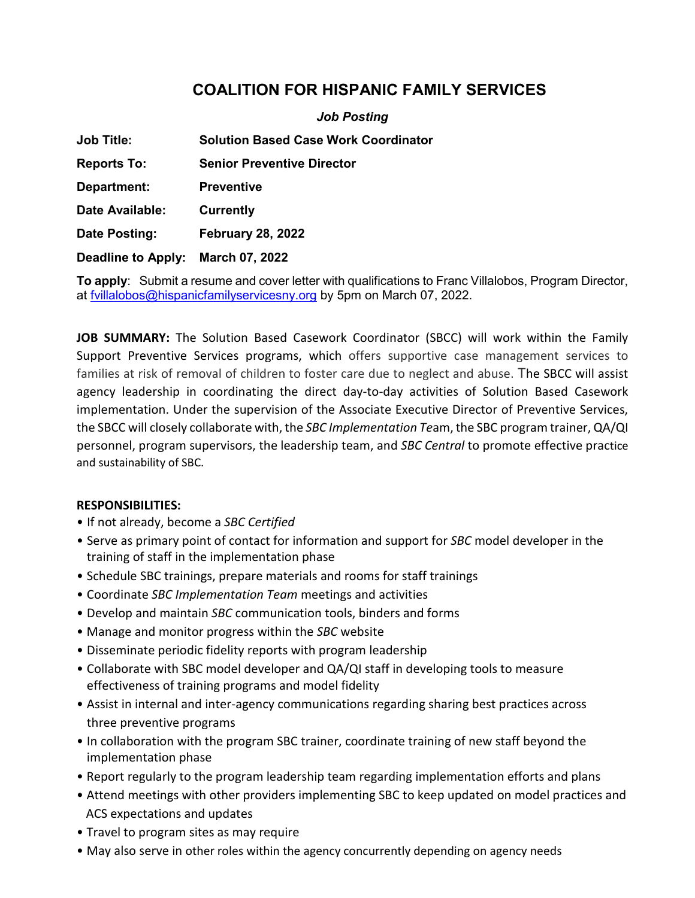## **COALITION FOR HISPANIC FAMILY SERVICES**

|                           | <b>Job Posting</b>                          |
|---------------------------|---------------------------------------------|
| <b>Job Title:</b>         | <b>Solution Based Case Work Coordinator</b> |
| <b>Reports To:</b>        | <b>Senior Preventive Director</b>           |
| Department:               | Preventive                                  |
| Date Available:           | <b>Currently</b>                            |
| Date Posting:             | <b>February 28, 2022</b>                    |
| <b>Deadline to Apply:</b> | March 07, 2022                              |

**To apply**: Submit a resume and cover letter with qualifications to Franc Villalobos, Program Director, at fyillalobos@hispanicfamilyservicesny.org by 5pm on March 07, 2022.

**JOB SUMMARY:** The Solution Based Casework Coordinator (SBCC) will work within the Family Support Preventive Services programs, which offers supportive case management services to families at risk of removal of children to foster care due to neglect and abuse. The SBCC will assist agency leadership in coordinating the direct day-to-day activities of Solution Based Casework implementation. Under the supervision of the Associate Executive Director of Preventive Services, the SBCC will closely collaborate with, the *SBC Implementation Te*am, the SBC program trainer, QA/QI personnel, program supervisors, the leadership team, and *SBC Central* to promote effective practice and sustainability of SBC.

## **RESPONSIBILITIES:**

- If not already, become a *SBC Certified*
- Serve as primary point of contact for information and support for *SBC* model developer in the training of staff in the implementation phase
- Schedule SBC trainings, prepare materials and rooms for staff trainings
- Coordinate *SBC Implementation Team* meetings and activities
- Develop and maintain *SBC* communication tools, binders and forms
- Manage and monitor progress within the *SBC* website
- Disseminate periodic fidelity reports with program leadership
- Collaborate with SBC model developer and QA/QI staff in developing tools to measure effectiveness of training programs and model fidelity
- Assist in internal and inter-agency communications regarding sharing best practices across three preventive programs
- In collaboration with the program SBC trainer, coordinate training of new staff beyond the implementation phase
- Report regularly to the program leadership team regarding implementation efforts and plans
- Attend meetings with other providers implementing SBC to keep updated on model practices and ACS expectations and updates
- Travel to program sites as may require
- May also serve in other roles within the agency concurrently depending on agency needs